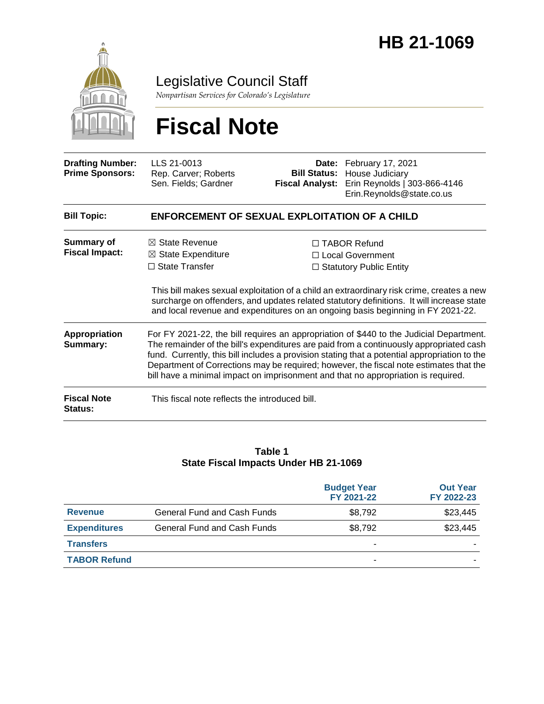

Legislative Council Staff

*Nonpartisan Services for Colorado's Legislature*

# **Fiscal Note**

| <b>Drafting Number:</b><br><b>Prime Sponsors:</b> | LLS 21-0013<br>Rep. Carver; Roberts<br>Sen. Fields; Gardner                                                                                                                                                                                                                                                                                                                                                                                                        | <b>Bill Status:</b><br><b>Fiscal Analyst:</b> | Date: February 17, 2021<br>House Judiciary<br>Erin Reynolds   303-866-4146<br>Erin.Reynolds@state.co.us                                                                                                                                                                                                                                                       |  |  |  |
|---------------------------------------------------|--------------------------------------------------------------------------------------------------------------------------------------------------------------------------------------------------------------------------------------------------------------------------------------------------------------------------------------------------------------------------------------------------------------------------------------------------------------------|-----------------------------------------------|---------------------------------------------------------------------------------------------------------------------------------------------------------------------------------------------------------------------------------------------------------------------------------------------------------------------------------------------------------------|--|--|--|
| <b>Bill Topic:</b>                                | ENFORCEMENT OF SEXUAL EXPLOITATION OF A CHILD                                                                                                                                                                                                                                                                                                                                                                                                                      |                                               |                                                                                                                                                                                                                                                                                                                                                               |  |  |  |
| <b>Summary of</b><br><b>Fiscal Impact:</b>        | $\boxtimes$ State Revenue<br>$\boxtimes$ State Expenditure<br>$\Box$ State Transfer                                                                                                                                                                                                                                                                                                                                                                                |                                               | $\Box$ TABOR Refund<br>$\Box$ Local Government<br>$\Box$ Statutory Public Entity<br>This bill makes sexual exploitation of a child an extraordinary risk crime, creates a new<br>surcharge on offenders, and updates related statutory definitions. It will increase state<br>and local revenue and expenditures on an ongoing basis beginning in FY 2021-22. |  |  |  |
| <b>Appropriation</b><br>Summary:                  | For FY 2021-22, the bill requires an appropriation of \$440 to the Judicial Department.<br>The remainder of the bill's expenditures are paid from a continuously appropriated cash<br>fund. Currently, this bill includes a provision stating that a potential appropriation to the<br>Department of Corrections may be required; however, the fiscal note estimates that the<br>bill have a minimal impact on imprisonment and that no appropriation is required. |                                               |                                                                                                                                                                                                                                                                                                                                                               |  |  |  |
| <b>Fiscal Note</b><br>Status:                     | This fiscal note reflects the introduced bill.                                                                                                                                                                                                                                                                                                                                                                                                                     |                                               |                                                                                                                                                                                                                                                                                                                                                               |  |  |  |

#### **Table 1 State Fiscal Impacts Under HB 21-1069**

|                     |                                    | <b>Budget Year</b><br>FY 2021-22 | <b>Out Year</b><br>FY 2022-23 |
|---------------------|------------------------------------|----------------------------------|-------------------------------|
| <b>Revenue</b>      | <b>General Fund and Cash Funds</b> | \$8,792                          | \$23,445                      |
| <b>Expenditures</b> | General Fund and Cash Funds        | \$8,792                          | \$23,445                      |
| <b>Transfers</b>    |                                    | -                                |                               |
| <b>TABOR Refund</b> |                                    | ۰                                |                               |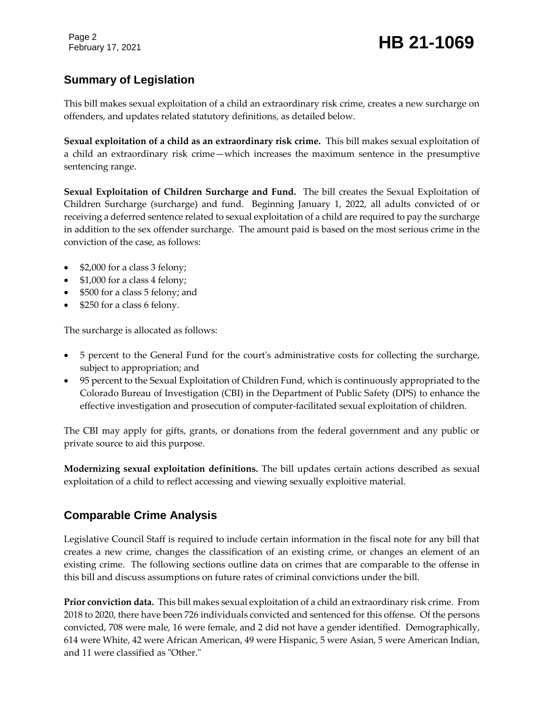Page 2

# February 17, 2021 **HB 21-1069**

# **Summary of Legislation**

This bill makes sexual exploitation of a child an extraordinary risk crime, creates a new surcharge on offenders, and updates related statutory definitions, as detailed below.

**Sexual exploitation of a child as an extraordinary risk crime.** This bill makes sexual exploitation of a child an extraordinary risk crime—which increases the maximum sentence in the presumptive sentencing range.

**Sexual Exploitation of Children Surcharge and Fund.** The bill creates the Sexual Exploitation of Children Surcharge (surcharge) and fund. Beginning January 1, 2022, all adults convicted of or receiving a deferred sentence related to sexual exploitation of a child are required to pay the surcharge in addition to the sex offender surcharge. The amount paid is based on the most serious crime in the conviction of the case, as follows:

- \$2,000 for a class 3 felony;
- \$1,000 for a class 4 felony;
- \$500 for a class 5 felony; and
- \$250 for a class 6 felony.

The surcharge is allocated as follows:

- 5 percent to the General Fund for the court's administrative costs for collecting the surcharge, subject to appropriation; and
- 95 percent to the Sexual Exploitation of Children Fund, which is continuously appropriated to the Colorado Bureau of Investigation (CBI) in the Department of Public Safety (DPS) to enhance the effective investigation and prosecution of computer-facilitated sexual exploitation of children.

The CBI may apply for gifts, grants, or donations from the federal government and any public or private source to aid this purpose.

**Modernizing sexual exploitation definitions.** The bill updates certain actions described as sexual exploitation of a child to reflect accessing and viewing sexually exploitive material.

# **Comparable Crime Analysis**

Legislative Council Staff is required to include certain information in the fiscal note for any bill that creates a new crime, changes the classification of an existing crime, or changes an element of an existing crime. The following sections outline data on crimes that are comparable to the offense in this bill and discuss assumptions on future rates of criminal convictions under the bill.

**Prior conviction data.** This bill makes sexual exploitation of a child an extraordinary risk crime. From 2018 to 2020, there have been 726 individuals convicted and sentenced for this offense. Of the persons convicted, 708 were male, 16 were female, and 2 did not have a gender identified. Demographically, 614 were White, 42 were African American, 49 were Hispanic, 5 were Asian, 5 were American Indian, and 11 were classified as "Other."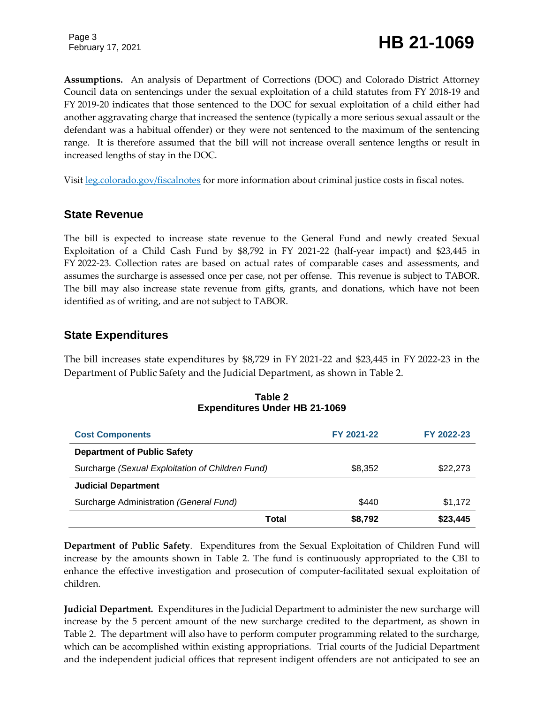Page 3

February 17, 2021 **HB 21-1069**

**Assumptions.** An analysis of Department of Corrections (DOC) and Colorado District Attorney Council data on sentencings under the sexual exploitation of a child statutes from FY 2018-19 and FY 2019-20 indicates that those sentenced to the DOC for sexual exploitation of a child either had another aggravating charge that increased the sentence (typically a more serious sexual assault or the defendant was a habitual offender) or they were not sentenced to the maximum of the sentencing range. It is therefore assumed that the bill will not increase overall sentence lengths or result in increased lengths of stay in the DOC.

Visit [leg.colorado.gov/fiscalnotes](https://leg.colorado.gov/fiscalnotes) for more information about criminal justice costs in fiscal notes.

#### **State Revenue**

The bill is expected to increase state revenue to the General Fund and newly created Sexual Exploitation of a Child Cash Fund by \$8,792 in FY 2021-22 (half-year impact) and \$23,445 in FY 2022-23. Collection rates are based on actual rates of comparable cases and assessments, and assumes the surcharge is assessed once per case, not per offense. This revenue is subject to TABOR. The bill may also increase state revenue from gifts, grants, and donations, which have not been identified as of writing, and are not subject to TABOR.

#### **State Expenditures**

The bill increases state expenditures by \$8,729 in FY 2021-22 and \$23,445 in FY 2022-23 in the Department of Public Safety and the Judicial Department, as shown in Table 2.

| <b>Cost Components</b>                           |       | FY 2021-22 | FY 2022-23 |
|--------------------------------------------------|-------|------------|------------|
| <b>Department of Public Safety</b>               |       |            |            |
| Surcharge (Sexual Exploitation of Children Fund) |       | \$8,352    | \$22,273   |
| <b>Judicial Department</b>                       |       |            |            |
| Surcharge Administration (General Fund)          |       | \$440      | \$1,172    |
|                                                  | Total | \$8,792    | \$23,445   |

#### **Table 2 Expenditures Under HB 21-1069**

**Department of Public Safety**. Expenditures from the Sexual Exploitation of Children Fund will increase by the amounts shown in Table 2. The fund is continuously appropriated to the CBI to enhance the effective investigation and prosecution of computer-facilitated sexual exploitation of children.

**Judicial Department.** Expenditures in the Judicial Department to administer the new surcharge will increase by the 5 percent amount of the new surcharge credited to the department, as shown in Table 2. The department will also have to perform computer programming related to the surcharge, which can be accomplished within existing appropriations. Trial courts of the Judicial Department and the independent judicial offices that represent indigent offenders are not anticipated to see an